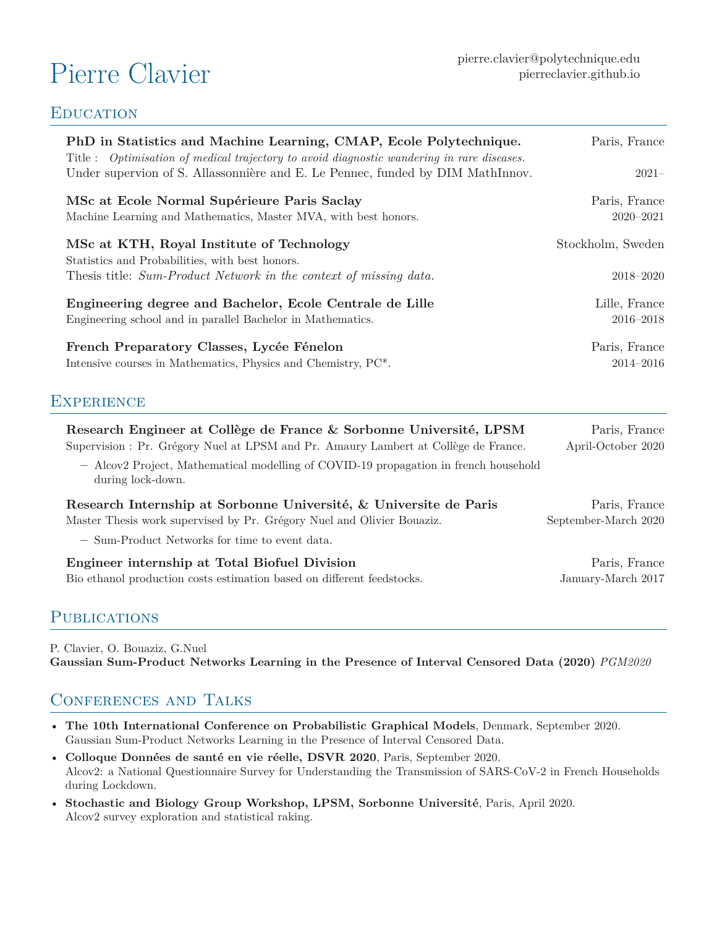## **EDUCATION**

| PhD in Statistics and Machine Learning, CMAP, Ecole Polytechnique.<br>Title: Optimisation of medical trajectory to avoid diagnostic wandering in rare diseases. | Paris, France     |
|-----------------------------------------------------------------------------------------------------------------------------------------------------------------|-------------------|
| Under supervion of S. Allassonnière and E. Le Pennec, funded by DIM MathInnov.                                                                                  | $2021 -$          |
| MSc at Ecole Normal Supérieure Paris Saclay                                                                                                                     | Paris, France     |
| Machine Learning and Mathematics, Master MVA, with best honors.                                                                                                 | $2020 - 2021$     |
| MSc at KTH, Royal Institute of Technology                                                                                                                       | Stockholm, Sweden |
| Statistics and Probabilities, with best honors.                                                                                                                 |                   |
| Thesis title: Sum-Product Network in the context of missing data.                                                                                               | 2018–2020         |
| Engineering degree and Bachelor, Ecole Centrale de Lille                                                                                                        | Lille, France     |
| Engineering school and in parallel Bachelor in Mathematics.                                                                                                     | $2016 - 2018$     |
| French Preparatory Classes, Lycée Fénelon                                                                                                                       | Paris, France     |
| Intensive courses in Mathematics, Physics and Chemistry, PC*.                                                                                                   | $2014 - 2016$     |
|                                                                                                                                                                 |                   |

### **EXPERIENCE**

| Research Engineer at Collège de France & Sorbonne Université, LPSM<br>Supervision : Pr. Grégory Nuel at LPSM and Pr. Amaury Lambert at Collège de France. | Paris, France<br>April-October 2020 |
|-----------------------------------------------------------------------------------------------------------------------------------------------------------|-------------------------------------|
| - Alcov2 Project, Mathematical modelling of COVID-19 propagation in french household<br>during lock-down.                                                 |                                     |
| Research Internship at Sorbonne Université, & Universite de Paris                                                                                         | Paris, France                       |
| Master Thesis work supervised by Pr. Grégory Nuel and Olivier Bouaziz.                                                                                    | September-March 2020                |
| - Sum-Product Networks for time to event data.                                                                                                            |                                     |
| Engineer internship at Total Biofuel Division<br>Bio ethanol production costs estimation based on different feedstocks.                                   | Paris, France<br>January-March 2017 |

### **PUBLICATIONS**

P. Clavier, O. Bouaziz, G.Nuel

**Gaussian Sum-Product Networks Learning in the Presence of Interval Censored Data (2020)** *PGM2020*

# Conferences and Talks

- **The 10th International Conference on Probabilistic Graphical Models**, Denmark, September 2020. Gaussian Sum-Product Networks Learning in the Presence of Interval Censored Data.
- **Colloque Données de santé en vie réelle, DSVR 2020**, Paris, September 2020. Alcov2: a National Questionnaire Survey for Understanding the Transmission of SARS-CoV-2 in French Households during Lockdown.
- **Stochastic and Biology Group Workshop, LPSM, Sorbonne Université**, Paris, April 2020. Alcov2 survey exploration and statistical raking.